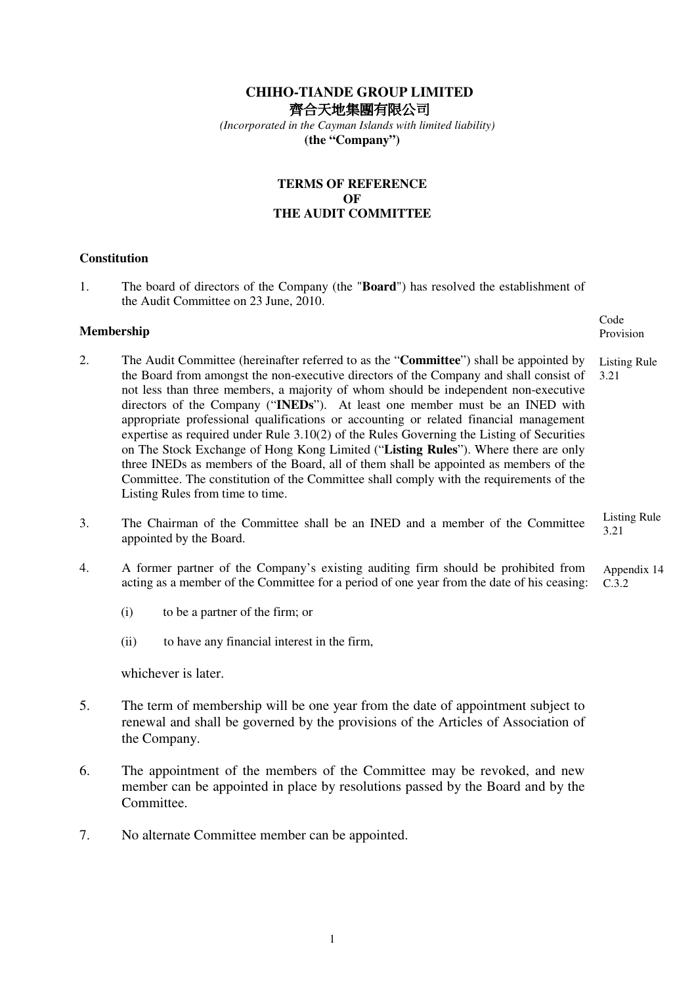# **CHIHO-TIANDE GROUP LIMITED**  齊合天地集團有限公司

 *(Incorporated in the Cayman Islands with limited liability)*  **(the "Company")** 

# **TERMS OF REFERENCE OF THE AUDIT COMMITTEE**

### **Constitution**

1. The board of directors of the Company (the "**Board**") has resolved the establishment of the Audit Committee on 23 June, 2010.

#### **Membership**

2. The Audit Committee (hereinafter referred to as the "**Committee**") shall be appointed by the Board from amongst the non-executive directors of the Company and shall consist of not less than three members, a majority of whom should be independent non-executive directors of the Company ("**INEDs**"). At least one member must be an INED with appropriate professional qualifications or accounting or related financial management expertise as required under Rule 3.10(2) of the Rules Governing the Listing of Securities on The Stock Exchange of Hong Kong Limited ("**Listing Rules**"). Where there are only three INEDs as members of the Board, all of them shall be appointed as members of the Committee. The constitution of the Committee shall comply with the requirements of the Listing Rules from time to time. Listing Rule 3.21

Code Provision

- 3. The Chairman of the Committee shall be an INED and a member of the Committee appointed by the Board. Listing Rule 3.21
- 4. A former partner of the Company's existing auditing firm should be prohibited from acting as a member of the Committee for a period of one year from the date of his ceasing: Appendix 14  $\overline{C.3.2}$ 
	- (i) to be a partner of the firm; or
	- (ii) to have any financial interest in the firm,

whichever is later.

- 5. The term of membership will be one year from the date of appointment subject to renewal and shall be governed by the provisions of the Articles of Association of the Company.
- 6. The appointment of the members of the Committee may be revoked, and new member can be appointed in place by resolutions passed by the Board and by the Committee.
- 7. No alternate Committee member can be appointed.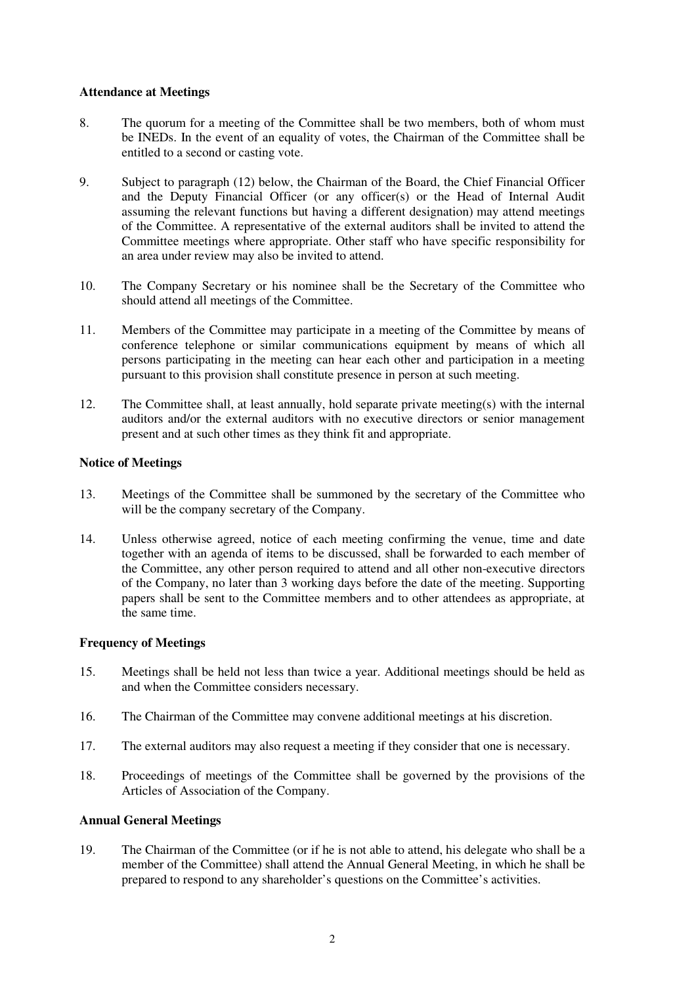#### **Attendance at Meetings**

- 8. The quorum for a meeting of the Committee shall be two members, both of whom must be INEDs. In the event of an equality of votes, the Chairman of the Committee shall be entitled to a second or casting vote.
- 9. Subject to paragraph (12) below, the Chairman of the Board, the Chief Financial Officer and the Deputy Financial Officer (or any officer(s) or the Head of Internal Audit assuming the relevant functions but having a different designation) may attend meetings of the Committee. A representative of the external auditors shall be invited to attend the Committee meetings where appropriate. Other staff who have specific responsibility for an area under review may also be invited to attend.
- 10. The Company Secretary or his nominee shall be the Secretary of the Committee who should attend all meetings of the Committee.
- 11. Members of the Committee may participate in a meeting of the Committee by means of conference telephone or similar communications equipment by means of which all persons participating in the meeting can hear each other and participation in a meeting pursuant to this provision shall constitute presence in person at such meeting.
- 12. The Committee shall, at least annually, hold separate private meeting(s) with the internal auditors and/or the external auditors with no executive directors or senior management present and at such other times as they think fit and appropriate.

### **Notice of Meetings**

- 13. Meetings of the Committee shall be summoned by the secretary of the Committee who will be the company secretary of the Company.
- 14. Unless otherwise agreed, notice of each meeting confirming the venue, time and date together with an agenda of items to be discussed, shall be forwarded to each member of the Committee, any other person required to attend and all other non-executive directors of the Company, no later than 3 working days before the date of the meeting. Supporting papers shall be sent to the Committee members and to other attendees as appropriate, at the same time.

### **Frequency of Meetings**

- 15. Meetings shall be held not less than twice a year. Additional meetings should be held as and when the Committee considers necessary.
- 16. The Chairman of the Committee may convene additional meetings at his discretion.
- 17. The external auditors may also request a meeting if they consider that one is necessary.
- 18. Proceedings of meetings of the Committee shall be governed by the provisions of the Articles of Association of the Company.

### **Annual General Meetings**

19. The Chairman of the Committee (or if he is not able to attend, his delegate who shall be a member of the Committee) shall attend the Annual General Meeting, in which he shall be prepared to respond to any shareholder's questions on the Committee's activities.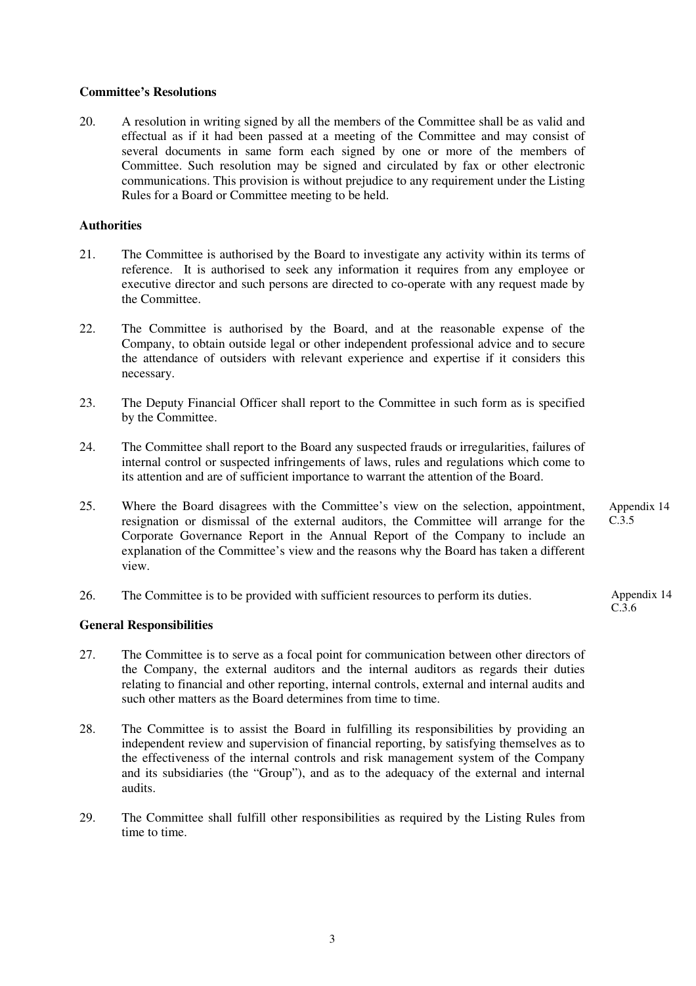#### **Committee's Resolutions**

20. A resolution in writing signed by all the members of the Committee shall be as valid and effectual as if it had been passed at a meeting of the Committee and may consist of several documents in same form each signed by one or more of the members of Committee. Such resolution may be signed and circulated by fax or other electronic communications. This provision is without prejudice to any requirement under the Listing Rules for a Board or Committee meeting to be held.

#### **Authorities**

- 21. The Committee is authorised by the Board to investigate any activity within its terms of reference. It is authorised to seek any information it requires from any employee or executive director and such persons are directed to co-operate with any request made by the Committee.
- 22. The Committee is authorised by the Board, and at the reasonable expense of the Company, to obtain outside legal or other independent professional advice and to secure the attendance of outsiders with relevant experience and expertise if it considers this necessary.
- 23. The Deputy Financial Officer shall report to the Committee in such form as is specified by the Committee.
- 24. The Committee shall report to the Board any suspected frauds or irregularities, failures of internal control or suspected infringements of laws, rules and regulations which come to its attention and are of sufficient importance to warrant the attention of the Board.
- 25. Where the Board disagrees with the Committee's view on the selection, appointment, resignation or dismissal of the external auditors, the Committee will arrange for the Corporate Governance Report in the Annual Report of the Company to include an explanation of the Committee's view and the reasons why the Board has taken a different view. Appendix 14 C.3.5
- 26. The Committee is to be provided with sufficient resources to perform its duties.

### **General Responsibilities**

- 27. The Committee is to serve as a focal point for communication between other directors of the Company, the external auditors and the internal auditors as regards their duties relating to financial and other reporting, internal controls, external and internal audits and such other matters as the Board determines from time to time.
- 28. The Committee is to assist the Board in fulfilling its responsibilities by providing an independent review and supervision of financial reporting, by satisfying themselves as to the effectiveness of the internal controls and risk management system of the Company and its subsidiaries (the "Group"), and as to the adequacy of the external and internal audits.
- 29. The Committee shall fulfill other responsibilities as required by the Listing Rules from time to time.

Appendix 14 C.3.6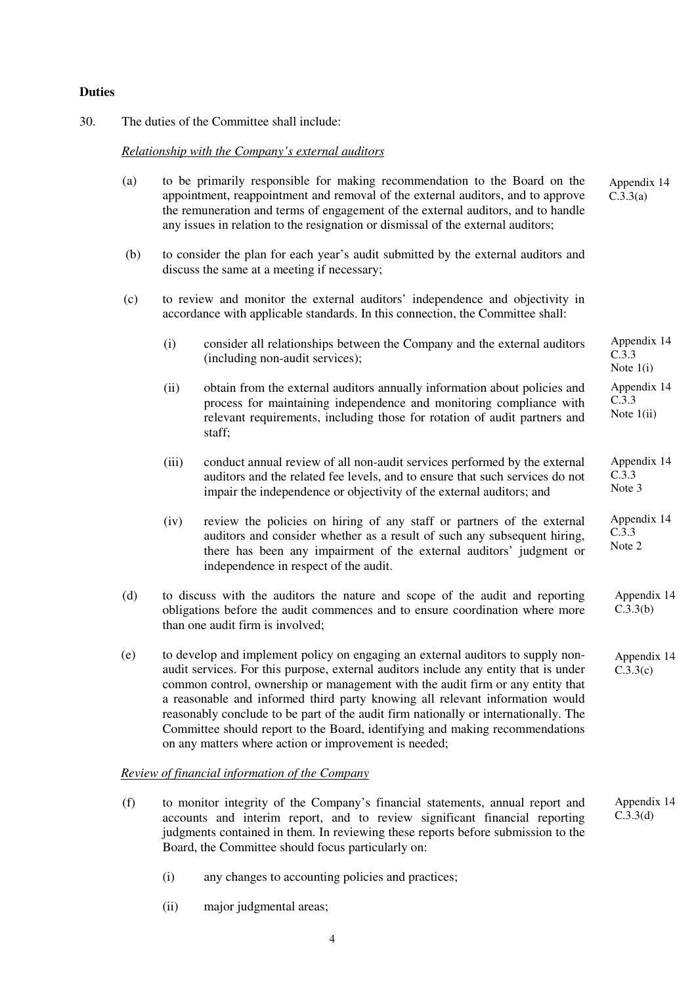## **Duties**

30. The duties of the Committee shall include:

## *Relationship with the Company's external auditors*

| (a) |                                                                                                                                                                | to be primarily responsible for making recommendation to the Board on the<br>appointment, reappointment and removal of the external auditors, and to approve<br>the remuneration and terms of engagement of the external auditors, and to handle<br>any issues in relation to the resignation or dismissal of the external auditors;                                                                                                                                                                                                                                      | Appendix 14<br>C.3.3(a)              |  |
|-----|----------------------------------------------------------------------------------------------------------------------------------------------------------------|---------------------------------------------------------------------------------------------------------------------------------------------------------------------------------------------------------------------------------------------------------------------------------------------------------------------------------------------------------------------------------------------------------------------------------------------------------------------------------------------------------------------------------------------------------------------------|--------------------------------------|--|
| (b) |                                                                                                                                                                | to consider the plan for each year's audit submitted by the external auditors and<br>discuss the same at a meeting if necessary;                                                                                                                                                                                                                                                                                                                                                                                                                                          |                                      |  |
| (c) | to review and monitor the external auditors' independence and objectivity in<br>accordance with applicable standards. In this connection, the Committee shall: |                                                                                                                                                                                                                                                                                                                                                                                                                                                                                                                                                                           |                                      |  |
|     | (i)                                                                                                                                                            | consider all relationships between the Company and the external auditors<br>(including non-audit services);                                                                                                                                                                                                                                                                                                                                                                                                                                                               | Appendix 14<br>C.3.3<br>Note $1(i)$  |  |
|     | (ii)                                                                                                                                                           | obtain from the external auditors annually information about policies and<br>process for maintaining independence and monitoring compliance with<br>relevant requirements, including those for rotation of audit partners and<br>staff;                                                                                                                                                                                                                                                                                                                                   | Appendix 14<br>C.3.3<br>Note $1(ii)$ |  |
|     | (iii)                                                                                                                                                          | conduct annual review of all non-audit services performed by the external<br>auditors and the related fee levels, and to ensure that such services do not<br>impair the independence or objectivity of the external auditors; and                                                                                                                                                                                                                                                                                                                                         | Appendix 14<br>C.3.3<br>Note 3       |  |
|     | (iv)                                                                                                                                                           | review the policies on hiring of any staff or partners of the external<br>auditors and consider whether as a result of such any subsequent hiring,<br>there has been any impairment of the external auditors' judgment or<br>independence in respect of the audit.                                                                                                                                                                                                                                                                                                        | Appendix 14<br>C.3.3<br>Note 2       |  |
| (d) |                                                                                                                                                                | to discuss with the auditors the nature and scope of the audit and reporting<br>obligations before the audit commences and to ensure coordination where more<br>than one audit firm is involved;                                                                                                                                                                                                                                                                                                                                                                          | Appendix 14<br>C.3.3(b)              |  |
| (e) |                                                                                                                                                                | to develop and implement policy on engaging an external auditors to supply non-<br>audit services. For this purpose, external auditors include any entity that is under<br>common control, ownership or management with the audit firm or any entity that<br>a reasonable and informed third party knowing all relevant information would<br>reasonably conclude to be part of the audit firm nationally or internationally. The<br>Committee should report to the Board, identifying and making recommendations<br>on any matters where action or improvement is needed; | Appendix 14<br>C.3.3(c)              |  |
|     |                                                                                                                                                                | <b>Review of financial information of the Company</b>                                                                                                                                                                                                                                                                                                                                                                                                                                                                                                                     |                                      |  |
| (f) |                                                                                                                                                                | to monitor integrity of the Company's financial statements, annual report and<br>accounts and interim report, and to review significant financial reporting                                                                                                                                                                                                                                                                                                                                                                                                               | Appendix 14<br>C.3.3(d)              |  |

(i) any changes to accounting policies and practices;

Board, the Committee should focus particularly on:

(ii) major judgmental areas;

accounts and interim report, and to review significant financial reporting judgments contained in them. In reviewing these reports before submission to the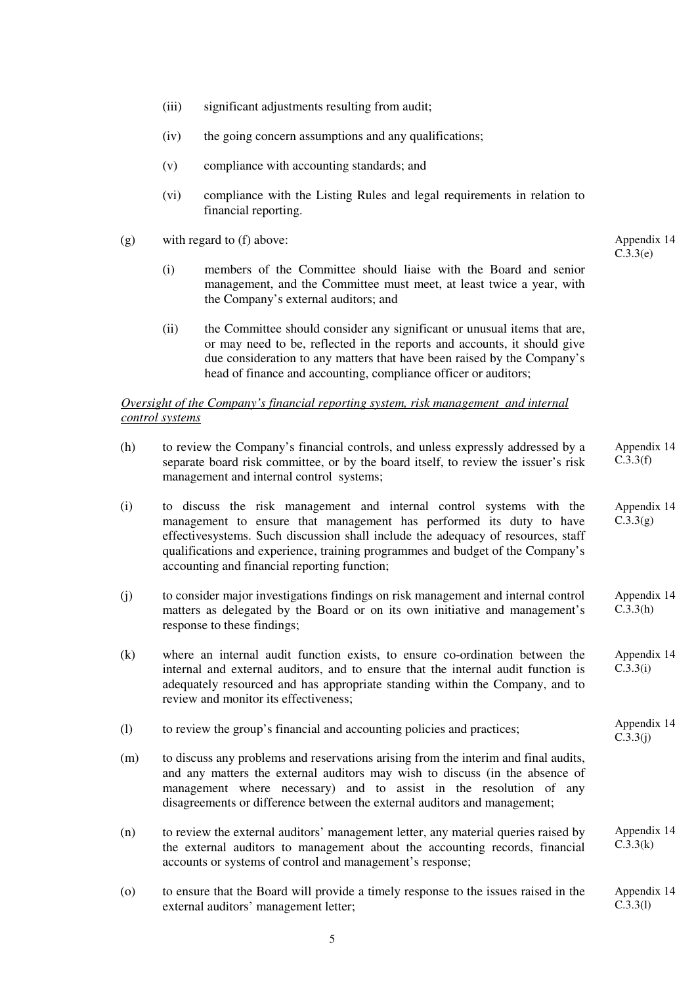- (iii) significant adjustments resulting from audit;
- (iv) the going concern assumptions and any qualifications;
- (v) compliance with accounting standards; and
- (vi) compliance with the Listing Rules and legal requirements in relation to financial reporting.

Appendix 14 C.3.3(e)

Appendix 14  $C.\overline{3}.3(i)$ 

- (g) with regard to (f) above:
	- (i) members of the Committee should liaise with the Board and senior management, and the Committee must meet, at least twice a year, with the Company's external auditors; and
	- (ii) the Committee should consider any significant or unusual items that are, or may need to be, reflected in the reports and accounts, it should give due consideration to any matters that have been raised by the Company's head of finance and accounting, compliance officer or auditors;

#### *Oversight of the Company's financial reporting system, risk management and internal control systems*

- (h) to review the Company's financial controls, and unless expressly addressed by a separate board risk committee, or by the board itself, to review the issuer's risk management and internal control systems; Appendix 14 C.3.3(f)
- (i) to discuss the risk management and internal control systems with the management to ensure that management has performed its duty to have effectivesystems. Such discussion shall include the adequacy of resources, staff qualifications and experience, training programmes and budget of the Company's accounting and financial reporting function; Appendix 14  $C.3.3(g)$
- (j) to consider major investigations findings on risk management and internal control matters as delegated by the Board or on its own initiative and management's response to these findings; Appendix 14  $C.\overline{3}.3(h)$
- (k) where an internal audit function exists, to ensure co-ordination between the internal and external auditors, and to ensure that the internal audit function is adequately resourced and has appropriate standing within the Company, and to review and monitor its effectiveness; Appendix 14 C.3.3(i)
- (l) to review the group's financial and accounting policies and practices;
- (m) to discuss any problems and reservations arising from the interim and final audits, and any matters the external auditors may wish to discuss (in the absence of management where necessary) and to assist in the resolution of any disagreements or difference between the external auditors and management;
- (n) to review the external auditors' management letter, any material queries raised by the external auditors to management about the accounting records, financial accounts or systems of control and management's response; Appendix 14  $C.3.3(k)$
- (o) to ensure that the Board will provide a timely response to the issues raised in the external auditors' management letter; Appendix 14 C.3.3(l)